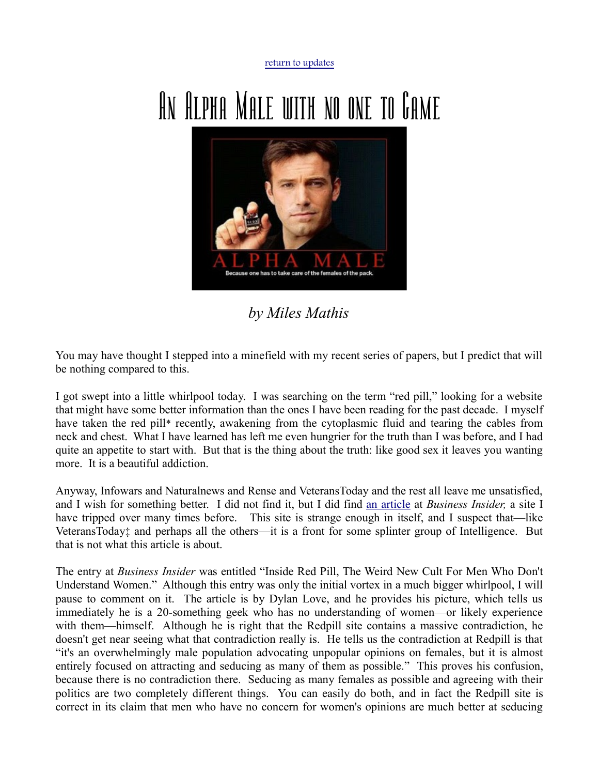[return to updates](http://mileswmathis.com/updates.html)

## An Alpha Male with no one to Game



*by Miles Mathis*

You may have thought I stepped into a minefield with my recent series of papers, but I predict that will be nothing compared to this.

I got swept into a little whirlpool today. I was searching on the term "red pill," looking for a website that might have some better information than the ones I have been reading for the past decade. I myself have taken the red pill\* recently, awakening from the cytoplasmic fluid and tearing the cables from neck and chest. What I have learned has left me even hungrier for the truth than I was before, and I had quite an appetite to start with. But that is the thing about the truth: like good sex it leaves you wanting more. It is a beautiful addiction.

Anyway, Infowars and Naturalnews and Rense and VeteransToday and the rest all leave me unsatisfied, and I wish for something better. I did not find it, but I did find [an article](http://www.businessinsider.com/the-red-pill-reddit-2013-8) at *Business Insider,* a site I have tripped over many times before. This site is strange enough in itself, and I suspect that—like VeteransToday‡ and perhaps all the others—it is a front for some splinter group of Intelligence. But that is not what this article is about.

The entry at *Business Insider* was entitled "Inside Red Pill, The Weird New Cult For Men Who Don't Understand Women." Although this entry was only the initial vortex in a much bigger whirlpool, I will pause to comment on it. The article is by Dylan Love, and he provides his picture, which tells us immediately he is a 20-something geek who has no understanding of women—or likely experience with them—himself. Although he is right that the Redpill site contains a massive contradiction, he doesn't get near seeing what that contradiction really is. He tells us the contradiction at Redpill is that "it's an overwhelmingly male population advocating unpopular opinions on females, but it is almost entirely focused on attracting and seducing as many of them as possible." This proves his confusion, because there is no contradiction there. Seducing as many females as possible and agreeing with their politics are two completely different things. You can easily do both, and in fact the Redpill site is correct in its claim that men who have no concern for women's opinions are much better at seducing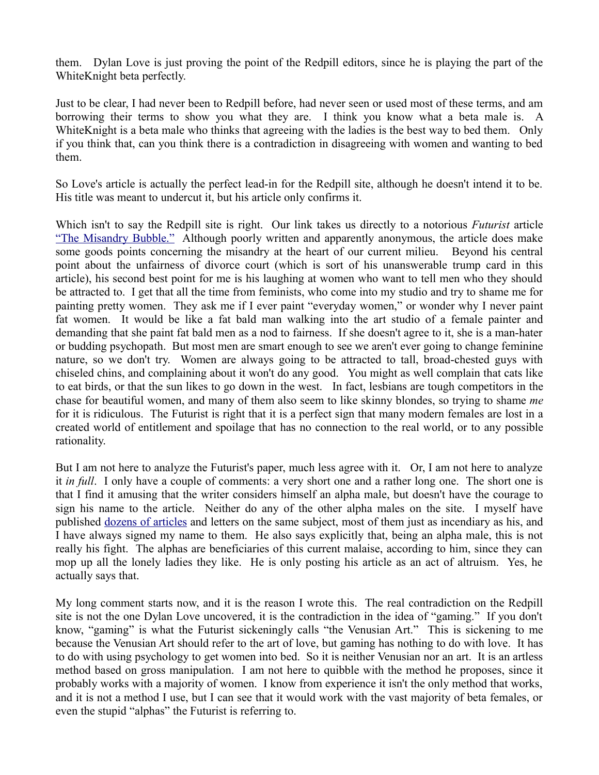them. Dylan Love is just proving the point of the Redpill editors, since he is playing the part of the WhiteKnight beta perfectly.

Just to be clear, I had never been to Redpill before, had never seen or used most of these terms, and am borrowing their terms to show you what they are. I think you know what a beta male is. A WhiteKnight is a beta male who thinks that agreeing with the ladies is the best way to bed them. Only if you think that, can you think there is a contradiction in disagreeing with women and wanting to bed them.

So Love's article is actually the perfect lead-in for the Redpill site, although he doesn't intend it to be. His title was meant to undercut it, but his article only confirms it.

Which isn't to say the Redpill site is right. Our link takes us directly to a notorious *Futurist* article ["The Misandry Bubble."](http://www.singularity2050.com/2010/01/the-misandry-bubble.html) Although poorly written and apparently anonymous, the article does make some goods points concerning the misandry at the heart of our current milieu. Beyond his central point about the unfairness of divorce court (which is sort of his unanswerable trump card in this article), his second best point for me is his laughing at women who want to tell men who they should be attracted to. I get that all the time from feminists, who come into my studio and try to shame me for painting pretty women. They ask me if I ever paint "everyday women," or wonder why I never paint fat women. It would be like a fat bald man walking into the art studio of a female painter and demanding that she paint fat bald men as a nod to fairness. If she doesn't agree to it, she is a man-hater or budding psychopath. But most men are smart enough to see we aren't ever going to change feminine nature, so we don't try. Women are always going to be attracted to tall, broad-chested guys with chiseled chins, and complaining about it won't do any good. You might as well complain that cats like to eat birds, or that the sun likes to go down in the west. In fact, lesbians are tough competitors in the chase for beautiful women, and many of them also seem to like skinny blondes, so trying to shame *me* for it is ridiculous. The Futurist is right that it is a perfect sign that many modern females are lost in a created world of entitlement and spoilage that has no connection to the real world, or to any possible rationality.

But I am not here to analyze the Futurist's paper, much less agree with it. Or, I am not here to analyze it *in full*. I only have a couple of comments: a very short one and a rather long one. The short one is that I find it amusing that the writer considers himself an alpha male, but doesn't have the courage to sign his name to the article. Neither do any of the other alpha males on the site. I myself have published [dozens of articles](http://mileswmathis.com/front.html) and letters on the same subject, most of them just as incendiary as his, and I have always signed my name to them. He also says explicitly that, being an alpha male, this is not really his fight. The alphas are beneficiaries of this current malaise, according to him, since they can mop up all the lonely ladies they like. He is only posting his article as an act of altruism. Yes, he actually says that.

My long comment starts now, and it is the reason I wrote this. The real contradiction on the Redpill site is not the one Dylan Love uncovered, it is the contradiction in the idea of "gaming." If you don't know, "gaming" is what the Futurist sickeningly calls "the Venusian Art." This is sickening to me because the Venusian Art should refer to the art of love, but gaming has nothing to do with love. It has to do with using psychology to get women into bed. So it is neither Venusian nor an art. It is an artless method based on gross manipulation. I am not here to quibble with the method he proposes, since it probably works with a majority of women. I know from experience it isn't the only method that works, and it is not a method I use, but I can see that it would work with the vast majority of beta females, or even the stupid "alphas" the Futurist is referring to.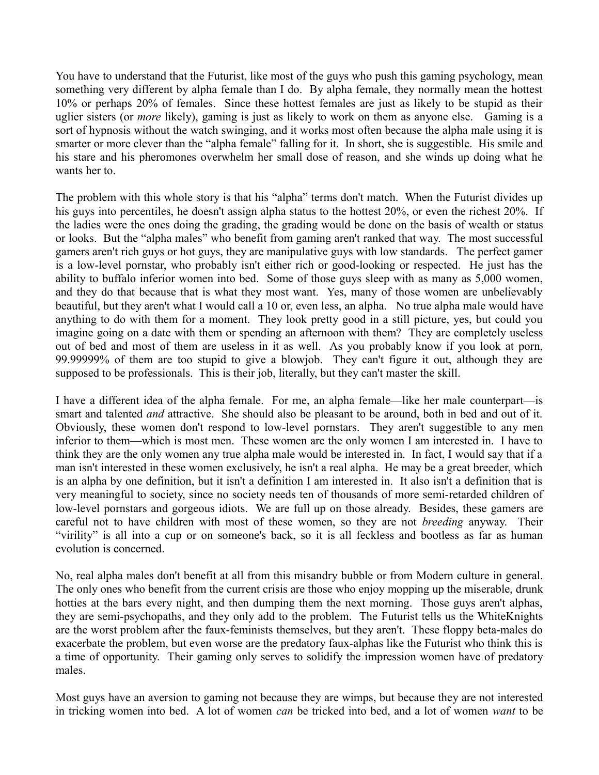You have to understand that the Futurist, like most of the guys who push this gaming psychology, mean something very different by alpha female than I do. By alpha female, they normally mean the hottest 10% or perhaps 20% of females. Since these hottest females are just as likely to be stupid as their uglier sisters (or *more* likely), gaming is just as likely to work on them as anyone else. Gaming is a sort of hypnosis without the watch swinging, and it works most often because the alpha male using it is smarter or more clever than the "alpha female" falling for it. In short, she is suggestible. His smile and his stare and his pheromones overwhelm her small dose of reason, and she winds up doing what he wants her to.

The problem with this whole story is that his "alpha" terms don't match. When the Futurist divides up his guys into percentiles, he doesn't assign alpha status to the hottest 20%, or even the richest 20%. If the ladies were the ones doing the grading, the grading would be done on the basis of wealth or status or looks. But the "alpha males" who benefit from gaming aren't ranked that way. The most successful gamers aren't rich guys or hot guys, they are manipulative guys with low standards. The perfect gamer is a low-level pornstar, who probably isn't either rich or good-looking or respected. He just has the ability to buffalo inferior women into bed. Some of those guys sleep with as many as 5,000 women, and they do that because that is what they most want. Yes, many of those women are unbelievably beautiful, but they aren't what I would call a 10 or, even less, an alpha. No true alpha male would have anything to do with them for a moment. They look pretty good in a still picture, yes, but could you imagine going on a date with them or spending an afternoon with them? They are completely useless out of bed and most of them are useless in it as well. As you probably know if you look at porn, 99.99999% of them are too stupid to give a blowjob. They can't figure it out, although they are supposed to be professionals. This is their job, literally, but they can't master the skill.

I have a different idea of the alpha female. For me, an alpha female—like her male counterpart—is smart and talented *and* attractive. She should also be pleasant to be around, both in bed and out of it. Obviously, these women don't respond to low-level pornstars. They aren't suggestible to any men inferior to them—which is most men. These women are the only women I am interested in. I have to think they are the only women any true alpha male would be interested in. In fact, I would say that if a man isn't interested in these women exclusively, he isn't a real alpha. He may be a great breeder, which is an alpha by one definition, but it isn't a definition I am interested in. It also isn't a definition that is very meaningful to society, since no society needs ten of thousands of more semi-retarded children of low-level pornstars and gorgeous idiots. We are full up on those already. Besides, these gamers are careful not to have children with most of these women, so they are not *breeding* anyway. Their "virility" is all into a cup or on someone's back, so it is all feckless and bootless as far as human evolution is concerned.

No, real alpha males don't benefit at all from this misandry bubble or from Modern culture in general. The only ones who benefit from the current crisis are those who enjoy mopping up the miserable, drunk hotties at the bars every night, and then dumping them the next morning. Those guys aren't alphas, they are semi-psychopaths, and they only add to the problem. The Futurist tells us the WhiteKnights are the worst problem after the faux-feminists themselves, but they aren't. These floppy beta-males do exacerbate the problem, but even worse are the predatory faux-alphas like the Futurist who think this is a time of opportunity. Their gaming only serves to solidify the impression women have of predatory males.

Most guys have an aversion to gaming not because they are wimps, but because they are not interested in tricking women into bed. A lot of women *can* be tricked into bed, and a lot of women *want* to be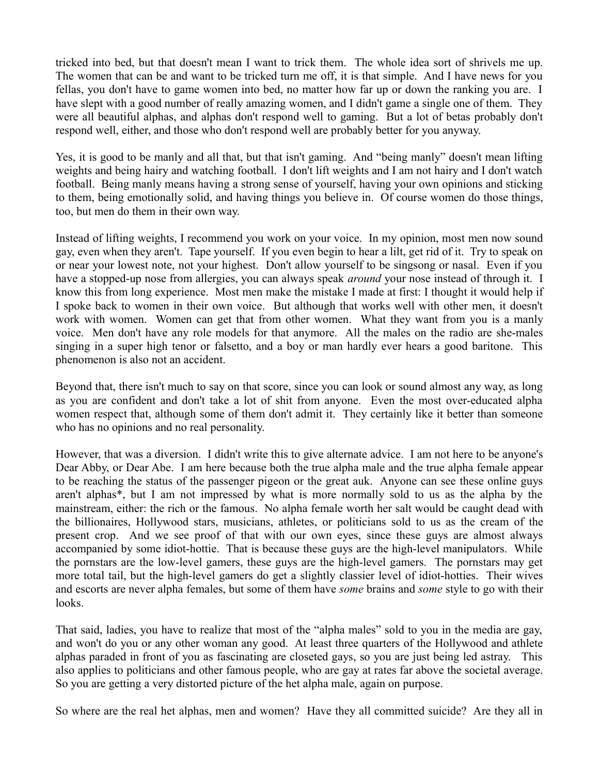tricked into bed, but that doesn't mean I want to trick them. The whole idea sort of shrivels me up. The women that can be and want to be tricked turn me off, it is that simple. And I have news for you fellas, you don't have to game women into bed, no matter how far up or down the ranking you are. I have slept with a good number of really amazing women, and I didn't game a single one of them. They were all beautiful alphas, and alphas don't respond well to gaming. But a lot of betas probably don't respond well, either, and those who don't respond well are probably better for you anyway.

Yes, it is good to be manly and all that, but that isn't gaming. And "being manly" doesn't mean lifting weights and being hairy and watching football. I don't lift weights and I am not hairy and I don't watch football. Being manly means having a strong sense of yourself, having your own opinions and sticking to them, being emotionally solid, and having things you believe in. Of course women do those things, too, but men do them in their own way.

Instead of lifting weights, I recommend you work on your voice. In my opinion, most men now sound gay, even when they aren't. Tape yourself. If you even begin to hear a lilt, get rid of it. Try to speak on or near your lowest note, not your highest. Don't allow yourself to be singsong or nasal. Even if you have a stopped-up nose from allergies, you can always speak *around* your nose instead of through it. I know this from long experience. Most men make the mistake I made at first: I thought it would help if I spoke back to women in their own voice. But although that works well with other men, it doesn't work with women. Women can get that from other women. What they want from you is a manly voice. Men don't have any role models for that anymore. All the males on the radio are she-males singing in a super high tenor or falsetto, and a boy or man hardly ever hears a good baritone. This phenomenon is also not an accident.

Beyond that, there isn't much to say on that score, since you can look or sound almost any way, as long as you are confident and don't take a lot of shit from anyone. Even the most over-educated alpha women respect that, although some of them don't admit it. They certainly like it better than someone who has no opinions and no real personality.

However, that was a diversion. I didn't write this to give alternate advice. I am not here to be anyone's Dear Abby, or Dear Abe. I am here because both the true alpha male and the true alpha female appear to be reaching the status of the passenger pigeon or the great auk. Anyone can see these online guys aren't alphas\*, but I am not impressed by what is more normally sold to us as the alpha by the mainstream, either: the rich or the famous. No alpha female worth her salt would be caught dead with the billionaires, Hollywood stars, musicians, athletes, or politicians sold to us as the cream of the present crop. And we see proof of that with our own eyes, since these guys are almost always accompanied by some idiot-hottie. That is because these guys are the high-level manipulators. While the pornstars are the low-level gamers, these guys are the high-level gamers. The pornstars may get more total tail, but the high-level gamers do get a slightly classier level of idiot-hotties. Their wives and escorts are never alpha females, but some of them have *some* brains and *some* style to go with their looks.

That said, ladies, you have to realize that most of the "alpha males" sold to you in the media are gay, and won't do you or any other woman any good. At least three quarters of the Hollywood and athlete alphas paraded in front of you as fascinating are closeted gays, so you are just being led astray. This also applies to politicians and other famous people, who are gay at rates far above the societal average. So you are getting a very distorted picture of the het alpha male, again on purpose.

So where are the real het alphas, men and women? Have they all committed suicide? Are they all in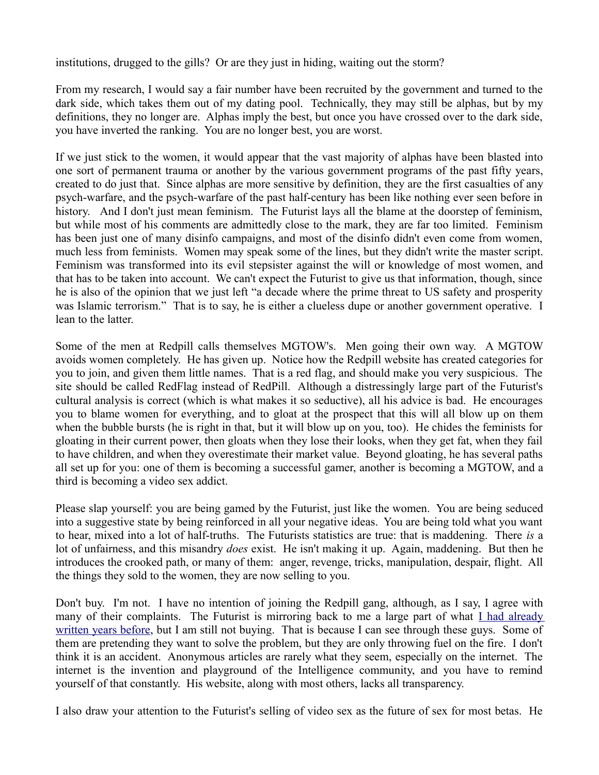institutions, drugged to the gills? Or are they just in hiding, waiting out the storm?

From my research, I would say a fair number have been recruited by the government and turned to the dark side, which takes them out of my dating pool. Technically, they may still be alphas, but by my definitions, they no longer are. Alphas imply the best, but once you have crossed over to the dark side, you have inverted the ranking. You are no longer best, you are worst.

If we just stick to the women, it would appear that the vast majority of alphas have been blasted into one sort of permanent trauma or another by the various government programs of the past fifty years, created to do just that. Since alphas are more sensitive by definition, they are the first casualties of any psych-warfare, and the psych-warfare of the past half-century has been like nothing ever seen before in history. And I don't just mean feminism. The Futurist lays all the blame at the doorstep of feminism, but while most of his comments are admittedly close to the mark, they are far too limited. Feminism has been just one of many disinfo campaigns, and most of the disinfo didn't even come from women, much less from feminists. Women may speak some of the lines, but they didn't write the master script. Feminism was transformed into its evil stepsister against the will or knowledge of most women, and that has to be taken into account. We can't expect the Futurist to give us that information, though, since he is also of the opinion that we just left "a decade where the prime threat to US safety and prosperity was Islamic terrorism." That is to say, he is either a clueless dupe or another government operative. I lean to the latter.

Some of the men at Redpill calls themselves MGTOW's. Men going their own way. A MGTOW avoids women completely. He has given up. Notice how the Redpill website has created categories for you to join, and given them little names. That is a red flag, and should make you very suspicious. The site should be called RedFlag instead of RedPill. Although a distressingly large part of the Futurist's cultural analysis is correct (which is what makes it so seductive), all his advice is bad. He encourages you to blame women for everything, and to gloat at the prospect that this will all blow up on them when the bubble bursts (he is right in that, but it will blow up on you, too). He chides the feminists for gloating in their current power, then gloats when they lose their looks, when they get fat, when they fail to have children, and when they overestimate their market value. Beyond gloating, he has several paths all set up for you: one of them is becoming a successful gamer, another is becoming a MGTOW, and a third is becoming a video sex addict.

Please slap yourself: you are being gamed by the Futurist, just like the women. You are being seduced into a suggestive state by being reinforced in all your negative ideas. You are being told what you want to hear, mixed into a lot of half-truths. The Futurists statistics are true: that is maddening. There *is* a lot of unfairness, and this misandry *does* exist. He isn't making it up. Again, maddening. But then he introduces the crooked path, or many of them: anger, revenge, tricks, manipulation, despair, flight. All the things they sold to the women, they are now selling to you.

Don't buy. I'm not. I have no intention of joining the Redpill gang, although, as I say, I agree with many of their complaints. The Futurist is mirroring back to me a large part of what [I had already](http://mileswmathis.com/dowdy.html) [written years before,](http://mileswmathis.com/dowdy.html) but I am still not buying. That is because I can see through these guys. Some of them are pretending they want to solve the problem, but they are only throwing fuel on the fire. I don't think it is an accident. Anonymous articles are rarely what they seem, especially on the internet. The internet is the invention and playground of the Intelligence community, and you have to remind yourself of that constantly. His website, along with most others, lacks all transparency.

I also draw your attention to the Futurist's selling of video sex as the future of sex for most betas. He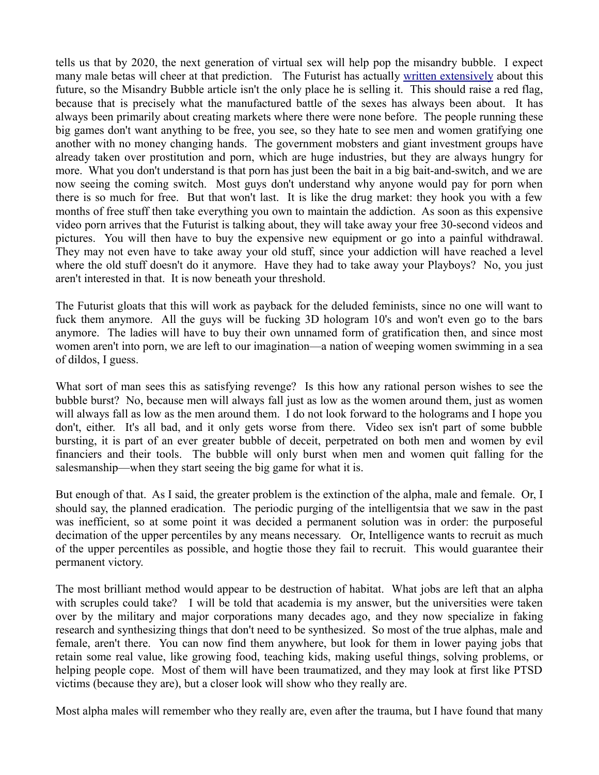tells us that by 2020, the next generation of virtual sex will help pop the misandry bubble. I expect many male betas will cheer at that prediction. The Futurist has actually [written extensively](http://www.singularity2050.com/2009/07/the-next-big-thing-in-entertainment-a-halftime-update.html) about this future, so the Misandry Bubble article isn't the only place he is selling it. This should raise a red flag, because that is precisely what the manufactured battle of the sexes has always been about. It has always been primarily about creating markets where there were none before. The people running these big games don't want anything to be free, you see, so they hate to see men and women gratifying one another with no money changing hands. The government mobsters and giant investment groups have already taken over prostitution and porn, which are huge industries, but they are always hungry for more. What you don't understand is that porn has just been the bait in a big bait-and-switch, and we are now seeing the coming switch. Most guys don't understand why anyone would pay for porn when there is so much for free. But that won't last. It is like the drug market: they hook you with a few months of free stuff then take everything you own to maintain the addiction. As soon as this expensive video porn arrives that the Futurist is talking about, they will take away your free 30-second videos and pictures. You will then have to buy the expensive new equipment or go into a painful withdrawal. They may not even have to take away your old stuff, since your addiction will have reached a level where the old stuff doesn't do it anymore. Have they had to take away your Playboys? No, you just aren't interested in that. It is now beneath your threshold.

The Futurist gloats that this will work as payback for the deluded feminists, since no one will want to fuck them anymore. All the guys will be fucking 3D hologram 10's and won't even go to the bars anymore. The ladies will have to buy their own unnamed form of gratification then, and since most women aren't into porn, we are left to our imagination—a nation of weeping women swimming in a sea of dildos, I guess.

What sort of man sees this as satisfying revenge? Is this how any rational person wishes to see the bubble burst? No, because men will always fall just as low as the women around them, just as women will always fall as low as the men around them. I do not look forward to the holograms and I hope you don't, either. It's all bad, and it only gets worse from there. Video sex isn't part of some bubble bursting, it is part of an ever greater bubble of deceit, perpetrated on both men and women by evil financiers and their tools. The bubble will only burst when men and women quit falling for the salesmanship—when they start seeing the big game for what it is.

But enough of that. As I said, the greater problem is the extinction of the alpha, male and female. Or, I should say, the planned eradication. The periodic purging of the intelligentsia that we saw in the past was inefficient, so at some point it was decided a permanent solution was in order: the purposeful decimation of the upper percentiles by any means necessary. Or, Intelligence wants to recruit as much of the upper percentiles as possible, and hogtie those they fail to recruit. This would guarantee their permanent victory.

The most brilliant method would appear to be destruction of habitat. What jobs are left that an alpha with scruples could take? I will be told that academia is my answer, but the universities were taken over by the military and major corporations many decades ago, and they now specialize in faking research and synthesizing things that don't need to be synthesized. So most of the true alphas, male and female, aren't there. You can now find them anywhere, but look for them in lower paying jobs that retain some real value, like growing food, teaching kids, making useful things, solving problems, or helping people cope. Most of them will have been traumatized, and they may look at first like PTSD victims (because they are), but a closer look will show who they really are.

Most alpha males will remember who they really are, even after the trauma, but I have found that many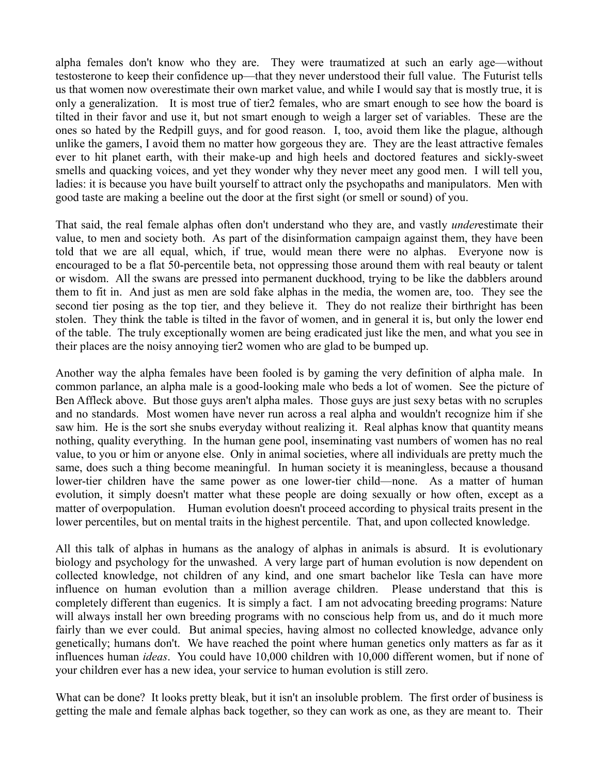alpha females don't know who they are. They were traumatized at such an early age—without testosterone to keep their confidence up—that they never understood their full value. The Futurist tells us that women now overestimate their own market value, and while I would say that is mostly true, it is only a generalization. It is most true of tier2 females, who are smart enough to see how the board is tilted in their favor and use it, but not smart enough to weigh a larger set of variables. These are the ones so hated by the Redpill guys, and for good reason. I, too, avoid them like the plague, although unlike the gamers, I avoid them no matter how gorgeous they are. They are the least attractive females ever to hit planet earth, with their make-up and high heels and doctored features and sickly-sweet smells and quacking voices, and yet they wonder why they never meet any good men. I will tell you, ladies: it is because you have built yourself to attract only the psychopaths and manipulators. Men with good taste are making a beeline out the door at the first sight (or smell or sound) of you.

That said, the real female alphas often don't understand who they are, and vastly *under*estimate their value, to men and society both. As part of the disinformation campaign against them, they have been told that we are all equal, which, if true, would mean there were no alphas. Everyone now is encouraged to be a flat 50-percentile beta, not oppressing those around them with real beauty or talent or wisdom. All the swans are pressed into permanent duckhood, trying to be like the dabblers around them to fit in. And just as men are sold fake alphas in the media, the women are, too. They see the second tier posing as the top tier, and they believe it. They do not realize their birthright has been stolen. They think the table is tilted in the favor of women, and in general it is, but only the lower end of the table. The truly exceptionally women are being eradicated just like the men, and what you see in their places are the noisy annoying tier2 women who are glad to be bumped up.

Another way the alpha females have been fooled is by gaming the very definition of alpha male. In common parlance, an alpha male is a good-looking male who beds a lot of women. See the picture of Ben Affleck above. But those guys aren't alpha males. Those guys are just sexy betas with no scruples and no standards. Most women have never run across a real alpha and wouldn't recognize him if she saw him. He is the sort she snubs everyday without realizing it. Real alphas know that quantity means nothing, quality everything. In the human gene pool, inseminating vast numbers of women has no real value, to you or him or anyone else. Only in animal societies, where all individuals are pretty much the same, does such a thing become meaningful. In human society it is meaningless, because a thousand lower-tier children have the same power as one lower-tier child—none. As a matter of human evolution, it simply doesn't matter what these people are doing sexually or how often, except as a matter of overpopulation. Human evolution doesn't proceed according to physical traits present in the lower percentiles, but on mental traits in the highest percentile. That, and upon collected knowledge.

All this talk of alphas in humans as the analogy of alphas in animals is absurd. It is evolutionary biology and psychology for the unwashed. A very large part of human evolution is now dependent on collected knowledge, not children of any kind, and one smart bachelor like Tesla can have more influence on human evolution than a million average children. Please understand that this is completely different than eugenics. It is simply a fact. I am not advocating breeding programs: Nature will always install her own breeding programs with no conscious help from us, and do it much more fairly than we ever could. But animal species, having almost no collected knowledge, advance only genetically; humans don't. We have reached the point where human genetics only matters as far as it influences human *ideas*. You could have 10,000 children with 10,000 different women, but if none of your children ever has a new idea, your service to human evolution is still zero.

What can be done? It looks pretty bleak, but it isn't an insoluble problem. The first order of business is getting the male and female alphas back together, so they can work as one, as they are meant to. Their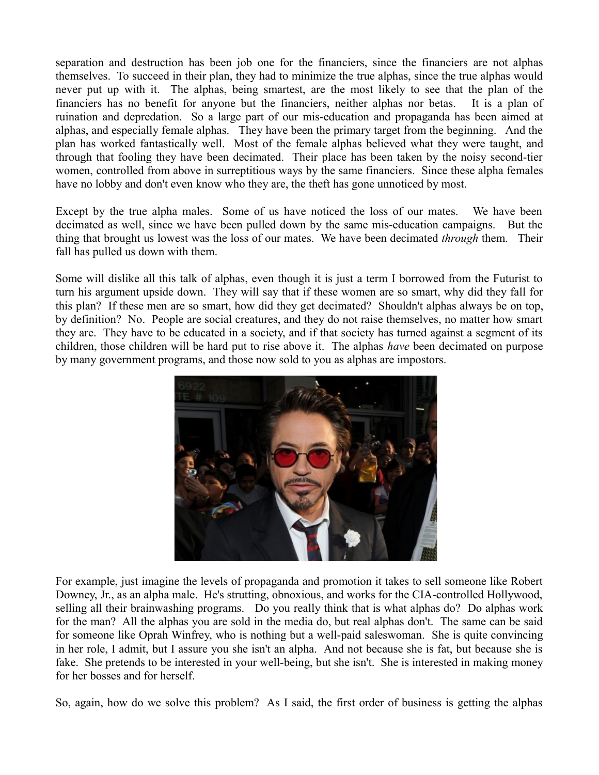separation and destruction has been job one for the financiers, since the financiers are not alphas themselves. To succeed in their plan, they had to minimize the true alphas, since the true alphas would never put up with it. The alphas, being smartest, are the most likely to see that the plan of the financiers has no benefit for anyone but the financiers, neither alphas nor betas. It is a plan of ruination and depredation. So a large part of our mis-education and propaganda has been aimed at alphas, and especially female alphas. They have been the primary target from the beginning. And the plan has worked fantastically well. Most of the female alphas believed what they were taught, and through that fooling they have been decimated. Their place has been taken by the noisy second-tier women, controlled from above in surreptitious ways by the same financiers. Since these alpha females have no lobby and don't even know who they are, the theft has gone unnoticed by most.

Except by the true alpha males. Some of us have noticed the loss of our mates. We have been decimated as well, since we have been pulled down by the same mis-education campaigns. But the thing that brought us lowest was the loss of our mates. We have been decimated *through* them. Their fall has pulled us down with them.

Some will dislike all this talk of alphas, even though it is just a term I borrowed from the Futurist to turn his argument upside down. They will say that if these women are so smart, why did they fall for this plan? If these men are so smart, how did they get decimated? Shouldn't alphas always be on top, by definition? No. People are social creatures, and they do not raise themselves, no matter how smart they are. They have to be educated in a society, and if that society has turned against a segment of its children, those children will be hard put to rise above it. The alphas *have* been decimated on purpose by many government programs, and those now sold to you as alphas are impostors.



For example, just imagine the levels of propaganda and promotion it takes to sell someone like Robert Downey, Jr., as an alpha male. He's strutting, obnoxious, and works for the CIA-controlled Hollywood, selling all their brainwashing programs. Do you really think that is what alphas do? Do alphas work for the man? All the alphas you are sold in the media do, but real alphas don't. The same can be said for someone like Oprah Winfrey, who is nothing but a well-paid saleswoman. She is quite convincing in her role, I admit, but I assure you she isn't an alpha. And not because she is fat, but because she is fake. She pretends to be interested in your well-being, but she isn't. She is interested in making money for her bosses and for herself.

So, again, how do we solve this problem? As I said, the first order of business is getting the alphas